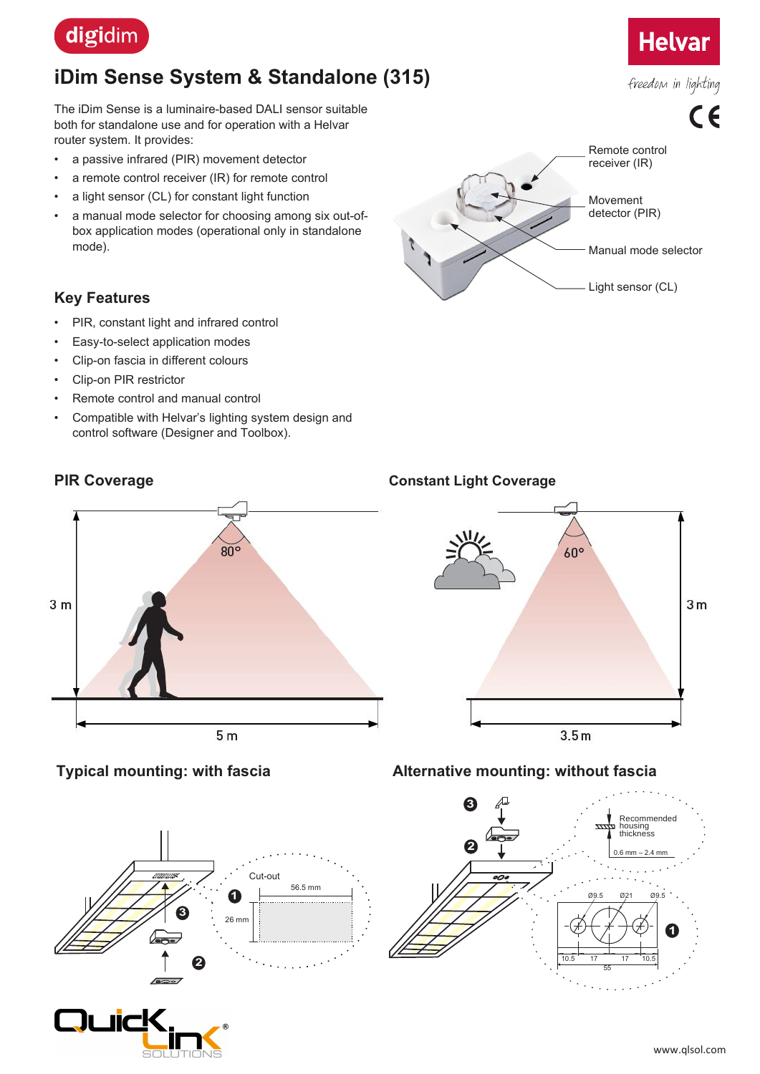

# **iDim Sense System & Standalone (315)**

The iDim Sense is a luminaire-based DALI sensor suitable both for standalone use and for operation with a Helvar router system. It provides:

- a passive infrared (PIR) movement detector
- a remote control receiver (IR) for remote control
- a light sensor (CL) for constant light function
- a manual mode selector for choosing among six out-ofbox application modes (operational only in standalone mode).

# **Key Features**

- PIR, constant light and infrared control
- Easy-to-select application modes
- Clip-on fascia in different colours
- Clip-on PIR restrictor
- Remote control and manual control
- Compatible with Helvar's lighting system design and control software (Designer and Toolbox).



# $80^\circ$  $3<sub>m</sub>$  $5<sub>m</sub>$

# **PIR Coverage Constant Light Coverage**



# **Typical mounting: with fascia**





# **Alternative mounting: without fascia**



# **Helvar**

freedom in lighting